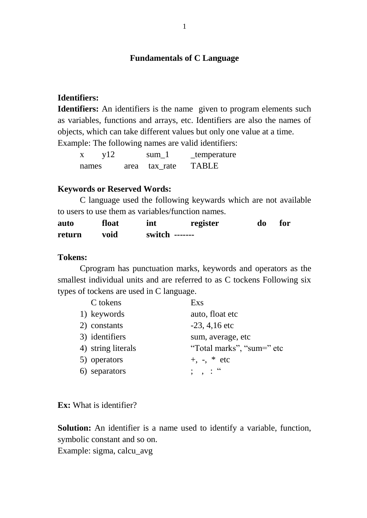### **Fundamentals of C Language**

### **Identifiers:**

**Identifiers:** An identifiers is the name given to program elements such as variables, functions and arrays, etc. Identifiers are also the names of objects, which can take different values but only one value at a time. Example: The following names are valid identifiers:

x y12 sum\_1 \_temperature names area tax rate TABLE

#### **Keywords or Reserved Words:**

C language used the following keywards which are not available to users to use them as variables/function names.

| auto   | float | int            | register | do | for |
|--------|-------|----------------|----------|----|-----|
| return | void  | switch ------- |          |    |     |

#### **Tokens:**

Cprogram has punctuation marks, keywords and operators as the smallest individual units and are referred to as C tockens Following six types of tockens are used in C language.

| C tokens           | Exs                                           |
|--------------------|-----------------------------------------------|
| 1) keywords        | auto, float etc                               |
| 2) constants       | $-23, 4, 16$ etc                              |
| 3) identifiers     | sum, average, etc                             |
| 4) string literals | "Total marks", "sum=" etc                     |
| 5) operators       | +, -, $*$ etc                                 |
| 6) separators      | $\frac{1}{2}$ , $\frac{1}{2}$ , $\frac{1}{2}$ |
|                    |                                               |

**Ex:** What is identifier?

**Solution:** An identifier is a name used to identify a variable, function, symbolic constant and so on.

Example: sigma, calcu\_avg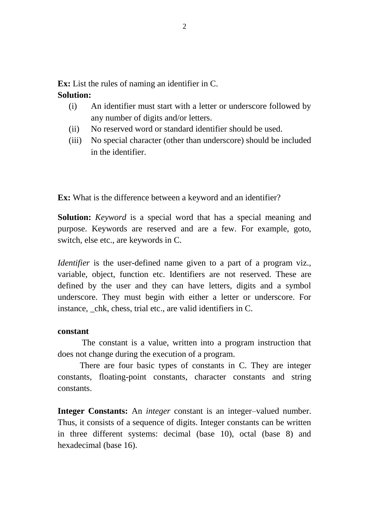**Ex:** List the rules of naming an identifier in C.

## **Solution:**

- (i) An identifier must start with a letter or underscore followed by any number of digits and/or letters.
- (ii) No reserved word or standard identifier should be used.
- (iii) No special character (other than underscore) should be included in the identifier.

**Ex:** What is the difference between a keyword and an identifier?

**Solution:** *Keyword* is a special word that has a special meaning and purpose. Keywords are reserved and are a few. For example, goto, switch, else etc., are keywords in C.

*Identifier* is the user-defined name given to a part of a program viz., variable, object, function etc. Identifiers are not reserved. These are defined by the user and they can have letters, digits and a symbol underscore. They must begin with either a letter or underscore. For instance, chk, chess, trial etc., are valid identifiers in C.

## **constant**

The constant is a value, written into a program instruction that does not change during the execution of a program.

There are four basic types of constants in C. They are integer constants, floating-point constants, character constants and string constants.

**Integer Constants:** An *integer* constant is an integer–valued number. Thus, it consists of a sequence of digits. Integer constants can be written in three different systems: decimal (base 10), octal (base 8) and hexadecimal (base 16).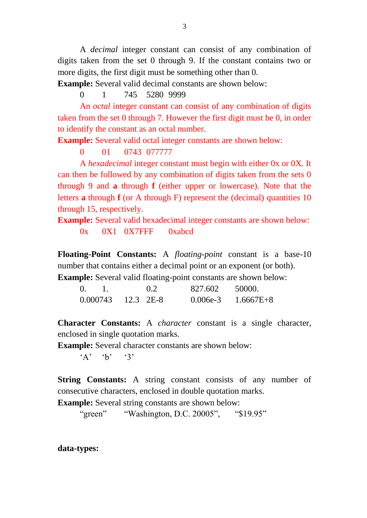A *decimal* integer constant can consist of any combination of digits taken from the set 0 through 9. If the constant contains two or more digits, the first digit must be something other than 0.

**Example:** Several valid decimal constants are shown below:

0 1 745 5280 9999

An *octal* integer constant can consist of any combination of digits taken from the set 0 through 7. However the first digit must be 0, in order to identify the constant as an octal number.

**Example:** Several valid octal integer constants are shown below:

0 01 0743 077777

A *hexadecimal* integer constant must begin with either 0x or 0X. It can then be followed by any combination of digits taken from the sets 0 through 9 and **a** through **f** (either upper or lowercase). Note that the letters **a** through **f** (or A through F) represent the (decimal) quantities 10 through 15, respectively.

**Example:** Several valid hexadecimal integer constants are shown below:

0x 0X1 0X7FFF 0xabcd

**Floating-Point Constants:** A *floating-point* constant is a base-10 number that contains either a decimal point or an exponent (or both). **Example:** Several valid floating-point constants are shown below:

| 0. 1.    | 0.2       | 827.602 | 50000.                 |
|----------|-----------|---------|------------------------|
| 0.000743 | 12.3 2E-8 |         | $0.006e-3$ $1.6667E+8$ |

**Character Constants:** A *character* constant is a single character, enclosed in single quotation marks.

**Example:** Several character constants are shown below:

 $A'$  "b"  $3'$ "

**String Constants:** A string constant consists of any number of consecutive characters, enclosed in double quotation marks.

**Example:** Several string constants are shown below:

"green" "Washington, D.C. 20005", "\$19.95"

**data-types:**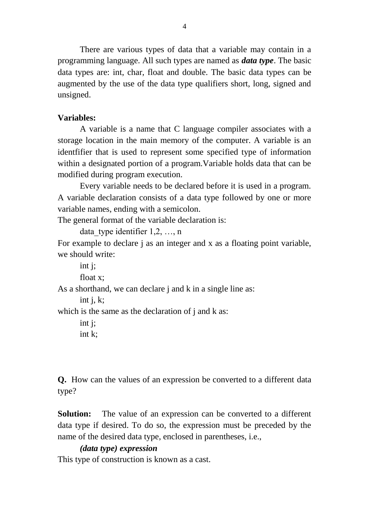There are various types of data that a variable may contain in a programming language. All such types are named as *data type*. The basic data types are: int, char, float and double. The basic data types can be augmented by the use of the data type qualifiers short, long, signed and unsigned.

# **Variables:**

A variable is a name that C language compiler associates with a storage location in the main memory of the computer. A variable is an identfifier that is used to represent some specified type of information within a designated portion of a program.Variable holds data that can be modified during program execution.

Every variable needs to be declared before it is used in a program. A variable declaration consists of a data type followed by one or more variable names, ending with a semicolon.

The general format of the variable declaration is:

data type identifier  $1,2, \ldots, n$ 

For example to declare *j* as an integer and x as a floating point variable, we should write:

int j; float x;

As a shorthand, we can declare j and k in a single line as:

int j,  $k$ ;

which is the same as the declaration of j and k as:

**Q.** How can the values of an expression be converted to a different data type?

**Solution:** The value of an expression can be converted to a different data type if desired. To do so, the expression must be preceded by the name of the desired data type, enclosed in parentheses, i.e.,

# *(data type) expression*

This type of construction is known as a cast.

int j; int k;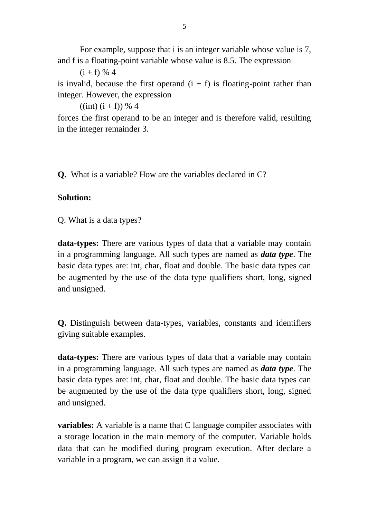For example, suppose that i is an integer variable whose value is 7, and f is a floating-point variable whose value is 8.5. The expression

 $(i + f)$  % 4

is invalid, because the first operand  $(i + f)$  is floating-point rather than integer. However, the expression

 $((int) (i + f)) % 4$ 

forces the first operand to be an integer and is therefore valid, resulting in the integer remainder 3.

**Q.** What is a variable? How are the variables declared in C?

# **Solution:**

Q. What is a data types?

**data-types:** There are various types of data that a variable may contain in a programming language. All such types are named as *data type*. The basic data types are: int, char, float and double. The basic data types can be augmented by the use of the data type qualifiers short, long, signed and unsigned.

**Q.** Distinguish between data-types, variables, constants and identifiers giving suitable examples.

**data-types:** There are various types of data that a variable may contain in a programming language. All such types are named as *data type*. The basic data types are: int, char, float and double. The basic data types can be augmented by the use of the data type qualifiers short, long, signed and unsigned.

**variables:** A variable is a name that C language compiler associates with a storage location in the main memory of the computer. Variable holds data that can be modified during program execution. After declare a variable in a program, we can assign it a value.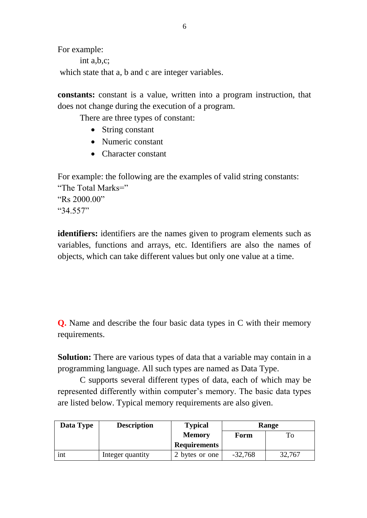For example: int a,b,c; which state that a, b and c are integer variables.

**constants:** constant is a value, written into a program instruction, that does not change during the execution of a program.

There are three types of constant:

- String constant
- Numeric constant
- Character constant

For example: the following are the examples of valid string constants: "The Total Marks=" "Rs 2000.00" "34.557"

**identifiers:** identifiers are the names given to program elements such as variables, functions and arrays, etc. Identifiers are also the names of objects, which can take different values but only one value at a time.

**Q.** Name and describe the four basic data types in C with their memory requirements.

**Solution:** There are various types of data that a variable may contain in a programming language. All such types are named as Data Type.

C supports several different types of data, each of which may be represented differently within computer's memory. The basic data types are listed below. Typical memory requirements are also given.

| Data Type | <b>Description</b> | <b>Typical</b>      | Range     |        |
|-----------|--------------------|---------------------|-----------|--------|
|           |                    | <b>Memory</b>       | Form      | Го     |
|           |                    | <b>Requirements</b> |           |        |
| ınt       | Integer quantity   | 2 bytes or one      | $-32,768$ | 32,767 |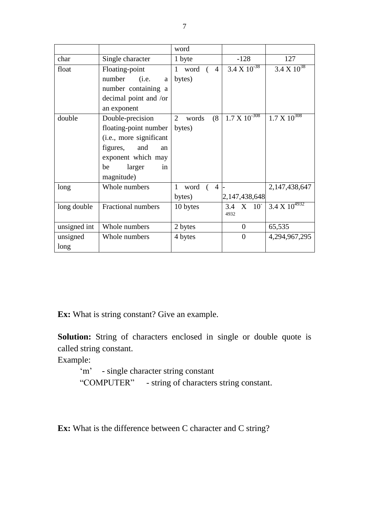|              |                         | word                       |                        |                                        |
|--------------|-------------------------|----------------------------|------------------------|----------------------------------------|
| char         | Single character        | 1 byte                     | $-128$                 | 127                                    |
| float        | Floating-point          | 1 word $(4)$               | $3.4 \times 10^{-38}$  | $3.4 \times 10^{38}$                   |
|              | number<br>(i.e.<br>a    | bytes)                     |                        |                                        |
|              | number containing a     |                            |                        |                                        |
|              | decimal point and /or   |                            |                        |                                        |
|              | an exponent             |                            |                        |                                        |
| double       | Double-precision        | 2 words<br>(8)             | $1.7 \times 10^{-308}$ | $1.7 \times 10^{308}$                  |
|              | floating-point number   | bytes)                     |                        |                                        |
|              | (i.e., more significant |                            |                        |                                        |
|              | figures,<br>and<br>an   |                            |                        |                                        |
|              | exponent which may      |                            |                        |                                        |
|              | larger<br>be<br>in      |                            |                        |                                        |
|              | magnitude)              |                            |                        |                                        |
| long         | Whole numbers           | $\mathbf{1}$<br>word $(4)$ |                        | 2,147,438,647                          |
|              |                         | bytes)                     | 2,147,438,648          |                                        |
| long double  | Fractional numbers      | 10 bytes                   | $3.4 \times 10^{-7}$   | $3.4 \text{ X}$ $\overline{10^{4932}}$ |
|              |                         |                            | 4932                   |                                        |
| unsigned int | Whole numbers           | 2 bytes                    | $\boldsymbol{0}$       | 65,535                                 |
| unsigned     | Whole numbers           | 4 bytes                    | $\boldsymbol{0}$       | 4,294,967,295                          |
| long         |                         |                            |                        |                                        |

**Ex:** What is string constant? Give an example.

**Solution:** String of characters enclosed in single or double quote is called string constant.

Example:

'm' - single character string constant

"COMPUTER" - string of characters string constant.

**Ex:** What is the difference between C character and C string?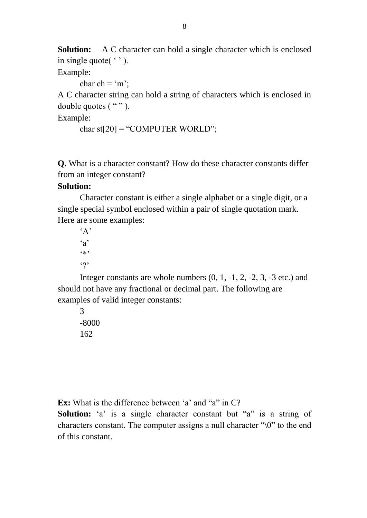**Solution:** A C character can hold a single character which is enclosed in single quote(  $\lq$ ).

Example:

char ch =  $\cdot$ m';

A C character string can hold a string of characters which is enclosed in double quotes (""").

Example:

```
char st[20] = "COMPUTER WORLD";
```
**Q.** What is a character constant? How do these character constants differ from an integer constant?

# **Solution:**

Character constant is either a single alphabet or a single digit, or a single special symbol enclosed within a pair of single quotation mark. Here are some examples:

 $\Delta$  $\mathfrak{a}$  $`$  $.9"$ 

Integer constants are whole numbers (0, 1, -1, 2, -2, 3, -3 etc.) and should not have any fractional or decimal part. The following are examples of valid integer constants:

3 -8000 162

**Ex:** What is the difference between 'a' and "a" in C?

**Solution:** 'a' is a single character constant but "a" is a string of characters constant. The computer assigns a null character " $\0$ " to the end of this constant.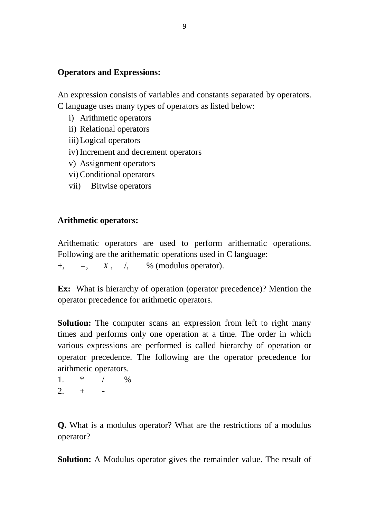## **Operators and Expressions:**

An expression consists of variables and constants separated by operators. C language uses many types of operators as listed below:

- i) Arithmetic operators
- ii) Relational operators
- iii)Logical operators
- iv)Increment and decrement operators
- v) Assignment operators
- vi)Conditional operators
- vii) Bitwise operators

## **Arithmetic operators:**

Arithematic operators are used to perform arithematic operations. Following are the arithematic operations used in C language:

 $+$  $-$ ,  $X$ ,  $/$ ,  $\%$  (modulus operator).

**Ex:** What is hierarchy of operation (operator precedence)? Mention the operator precedence for arithmetic operators.

**Solution:** The computer scans an expression from left to right many times and performs only one operation at a time. The order in which various expressions are performed is called hierarchy of operation or operator precedence. The following are the operator precedence for arithmetic operators.

1. \* / % 2.  $+$  -

**Q.** What is a modulus operator? What are the restrictions of a modulus operator?

**Solution:** A Modulus operator gives the remainder value. The result of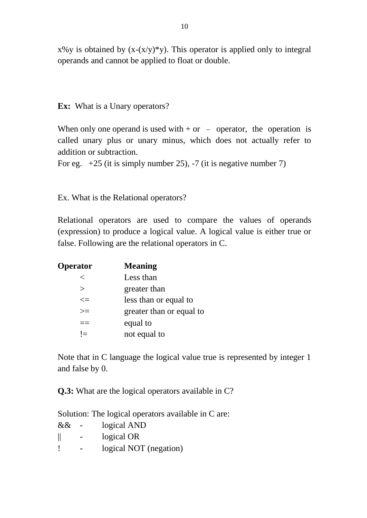$x\%y$  is obtained by  $(x-(x/y)*y)$ . This operator is applied only to integral operands and cannot be applied to float or double.

**Ex:** What is a Unary operators?

When only one operand is used with  $+$  or  $-$  operator, the operation is called unary plus or unary minus, which does not actually refer to addition or subtraction.

For eg.  $+25$  (it is simply number 25),  $-7$  (it is negative number 7)

Ex. What is the Relational operators?

Relational operators are used to compare the values of operands (expression) to produce a logical value. A logical value is either true or false. Following are the relational operators in C.

| <b>Operator</b> | <b>Meaning</b>           |
|-----------------|--------------------------|
| $\,<\,$         | Less than                |
| $\rm{>}$        | greater than             |
| $\leq$          | less than or equal to    |
| $>=$            | greater than or equal to |
|                 | equal to                 |
| $=$             | not equal to             |

Note that in C language the logical value true is represented by integer 1 and false by 0.

**Q.3:** What are the logical operators available in C?

Solution: The logical operators available in C are:

| && | logical AND            |
|----|------------------------|
|    | logical OR             |
|    | logical NOT (negation) |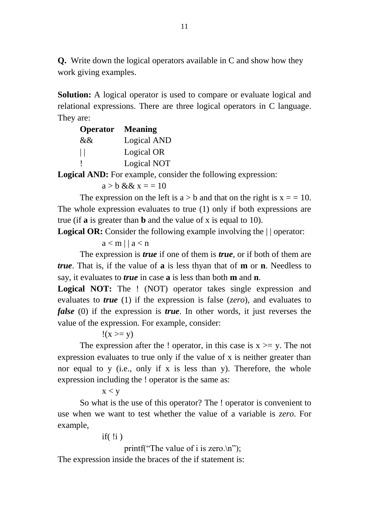**Q.** Write down the logical operators available in C and show how they work giving examples.

**Solution:** A logical operator is used to compare or evaluate logical and relational expressions. There are three logical operators in C language. They are:

| Operator     | <b>Meaning</b> |
|--------------|----------------|
| &&           | Logical AND    |
| $\mathbf{L}$ | Logical OR     |
|              | Logical NOT    |

**Logical AND:** For example, consider the following expression:

 $a > b \&& x = 10$ 

The expression on the left is  $a > b$  and that on the right is  $x = 10$ . The whole expression evaluates to true (1) only if both expressions are true (if **a** is greater than **b** and the value of x is equal to 10).

**Logical OR:** Consider the following example involving the  $\vert \vert$  operator:

 $a < m \mid a < n$ 

The expression is *true* if one of them is *true*, or if both of them are *true*. That is, if the value of **a** is less thyan that of **m** or **n**. Needless to say, it evaluates to *true* in case **a** is less than both **m** and **n**.

**Logical NOT:** The ! (NOT) operator takes single expression and evaluates to *true* (1) if the expression is false (*zero*), and evaluates to *false* (0) if the expression is *true*. In other words, it just reverses the value of the expression. For example, consider:

## $!(x>=y)$

The expression after the ! operator, in this case is  $x \ge y$ . The not expression evaluates to true only if the value of x is neither greater than nor equal to y (i.e., only if x is less than y). Therefore, the whole expression including the ! operator is the same as:

 $x < y$ 

So what is the use of this operator? The ! operator is convenient to use when we want to test whether the value of a variable is *zero*. For example,

if( $\ln$ )

printf("The value of i is zero. $\langle n" \rangle$ ; The expression inside the braces of the if statement is: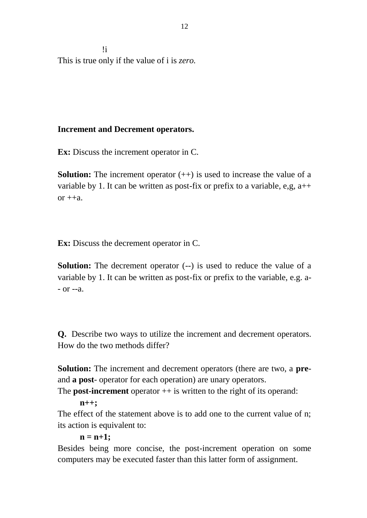!i This is true only if the value of i is *zero.*

## **Increment and Decrement operators.**

**Ex:** Discuss the increment operator in C.

**Solution:** The increment operator  $(++)$  is used to increase the value of a variable by 1. It can be written as post-fix or prefix to a variable, e,g,  $a++$ or  $++a$ .

**Ex:** Discuss the decrement operator in C.

**Solution:** The decrement operator  $(-)$  is used to reduce the value of a variable by 1. It can be written as post-fix or prefix to the variable, e.g. a- - or --a.

**Q.** Describe two ways to utilize the increment and decrement operators. How do the two methods differ?

**Solution:** The increment and decrement operators (there are two, a **pre**and **a post**- operator for each operation) are unary operators.

The **post-increment** operator  $++$  is written to the right of its operand:

```
n++;
```
The effect of the statement above is to add one to the current value of n; its action is equivalent to:

## $n = n+1$ :

Besides being more concise, the post-increment operation on some computers may be executed faster than this latter form of assignment.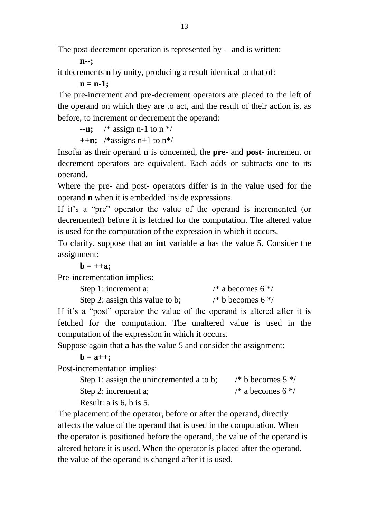The post-decrement operation is represented by -- and is written:

**n--;**

it decrements **n** by unity, producing a result identical to that of:

**n = n-1;**

The pre-increment and pre-decrement operators are placed to the left of the operand on which they are to act, and the result of their action is, as before, to increment or decrement the operand:

**--n;** /\* assign n-1 to n  $*/$ 

 $++n$ ; /\*assigns n+1 to n<sup>\*</sup>/

Insofar as their operand **n** is concerned, the **pre-** and **post-** increment or decrement operators are equivalent. Each adds or subtracts one to its operand.

Where the pre- and post- operators differ is in the value used for the operand **n** when it is embedded inside expressions.

If it's a "pre" operator the value of the operand is incremented (or decremented) before it is fetched for the computation. The altered value is used for the computation of the expression in which it occurs.

To clarify, suppose that an **int** variable **a** has the value 5. Consider the assignment:

 $$ 

Pre-incrementation implies:

Step 1: increment a;  $\frac{1}{2}$  /\* a becomes 6 \*/

Step 2: assign this value to b;  $\frac{\pi}{8}$  b becomes 6  $\frac{\pi}{8}$ 

If it's a "post" operator the value of the operand is altered after it is fetched for the computation. The unaltered value is used in the computation of the expression in which it occurs.

Suppose again that **a** has the value 5 and consider the assignment:

 $$ 

Post-incrementation implies:

```
Step 1: assign the unincremented a to b; \frac{\pi}{8} b becomes 5 \frac{\pi}{8}Step 2: increment a; \frac{1}{8} /* a becomes 6 */
```
Result: a is 6, b is 5.

The placement of the operator, before or after the operand, directly affects the value of the operand that is used in the computation. When the operator is positioned before the operand, the value of the operand is altered before it is used. When the operator is placed after the operand, the value of the operand is changed after it is used.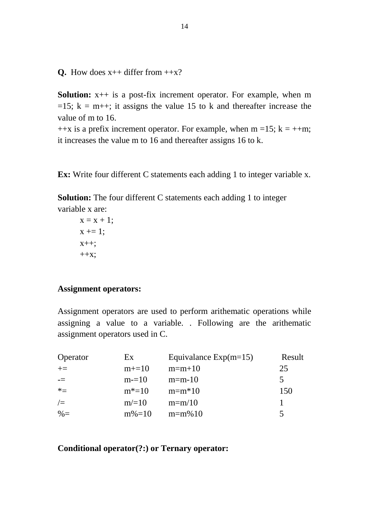**Q.** How does  $x++$  differ from  $++x$ ?

**Solution:**  $x++$  is a post-fix increment operator. For example, when m  $=15$ ;  $k = m++$ ; it assigns the value 15 to k and thereafter increase the value of m to 16.

 $+ x$  is a prefix increment operator. For example, when m =15; k =  $+ m$ ; it increases the value m to 16 and thereafter assigns 16 to k.

**Ex:** Write four different C statements each adding 1 to integer variable x.

**Solution:** The four different C statements each adding 1 to integer variable x are:

$$
x = x + 1;
$$
  
\n
$$
x += 1;
$$
  
\n
$$
x++;
$$
  
\n
$$
++x;
$$

### **Assignment operators:**

Assignment operators are used to perform arithematic operations while assigning a value to a variable. . Following are the arithematic assignment operators used in C.

| Operator        | Ex         | Equivalance $Exp(m=15)$ | Result |
|-----------------|------------|-------------------------|--------|
| $+=$            | $m+=10$    | $m=m+10$                | 25     |
| $\equiv$        | $m=10$     | $m=m-10$                | 5      |
| $*_{-}$         | $m^* = 10$ | $m=m*10$                | 150    |
| $/=\frac{1}{2}$ | $m/ = 10$  | $m=m/10$                |        |
| $% =$           | $m\% = 10$ | $m=m\%10$               |        |

#### **Conditional operator(?:) or Ternary operator:**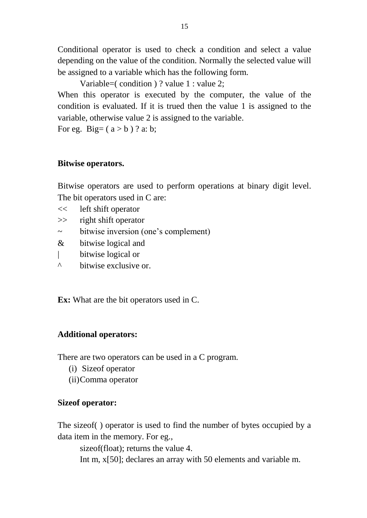Conditional operator is used to check a condition and select a value depending on the value of the condition. Normally the selected value will be assigned to a variable which has the following form.

Variable=( condition ) ? value 1 : value 2;

When this operator is executed by the computer, the value of the condition is evaluated. If it is trued then the value 1 is assigned to the variable, otherwise value 2 is assigned to the variable.

For eg. Big=  $(a > b)$  ? a: b;

## **Bitwise operators.**

Bitwise operators are used to perform operations at binary digit level. The bit operators used in C are:

- << left shift operator
- >> right shift operator
- ~ bitwise inversion (one"s complement)
- & bitwise logical and
- | bitwise logical or
- ^ bitwise exclusive or.

**Ex:** What are the bit operators used in C.

### **Additional operators:**

There are two operators can be used in a C program.

- (i) Sizeof operator
- (ii)Comma operator

### **Sizeof operator:**

The sizeof( ) operator is used to find the number of bytes occupied by a data item in the memory. For eg.,

sizeof(float); returns the value 4.

Int m, x[50]; declares an array with 50 elements and variable m.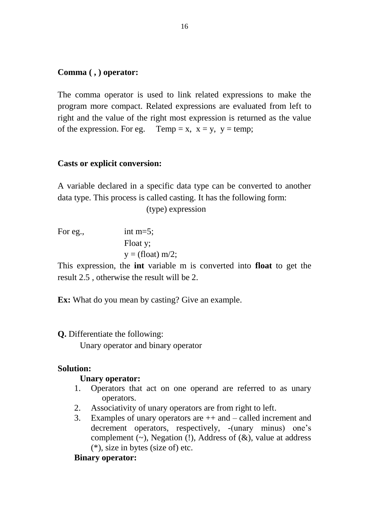## **Comma ( , ) operator:**

The comma operator is used to link related expressions to make the program more compact. Related expressions are evaluated from left to right and the value of the right most expression is returned as the value of the expression. For eg. Temp = x,  $x = y$ ,  $y = temp$ ;

## **Casts or explicit conversion:**

A variable declared in a specific data type can be converted to another data type. This process is called casting. It has the following form:

(type) expression

For eg., int m=5;

Float y;  $y = (float) m/2;$ 

This expression, the **int** variable m is converted into **float** to get the result 2.5 , otherwise the result will be 2.

**Ex:** What do you mean by casting? Give an example.

### **Q.** Differentiate the following:

Unary operator and binary operator

### **Solution:**

### **Unary operator:**

- 1. Operators that act on one operand are referred to as unary operators.
- 2. Associativity of unary operators are from right to left.
- 3. Examples of unary operators are  $++$  and  $-$  called increment and decrement operators, respectively, -(unary minus) one's complement  $(\sim)$ , Negation (!), Address of  $(\&)$ , value at address (\*), size in bytes (size of) etc.

**Binary operator:**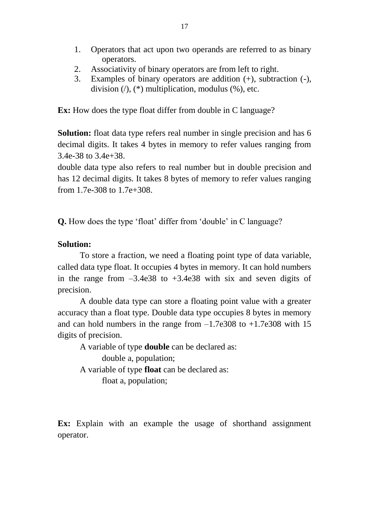- 1. Operators that act upon two operands are referred to as binary operators.
- 2. Associativity of binary operators are from left to right.
- 3. Examples of binary operators are addition (+), subtraction (-), division  $($ ,  $($   $*)$  multiplication, modulus  $($ <sup>6</sup> $)$ , etc.

**Ex:** How does the type float differ from double in C language?

**Solution:** float data type refers real number in single precision and has 6 decimal digits. It takes 4 bytes in memory to refer values ranging from 3.4e-38 to 3.4e+38.

double data type also refers to real number but in double precision and has 12 decimal digits. It takes 8 bytes of memory to refer values ranging from 1.7e-308 to 1.7e+308.

**Q.** How does the type 'float' differ from 'double' in C language?

# **Solution:**

To store a fraction, we need a floating point type of data variable, called data type float. It occupies 4 bytes in memory. It can hold numbers in the range from  $-3.4e38$  to  $+3.4e38$  with six and seven digits of precision.

A double data type can store a floating point value with a greater accuracy than a float type. Double data type occupies 8 bytes in memory and can hold numbers in the range from  $-1.7e308$  to  $+1.7e308$  with 15 digits of precision.

A variable of type **double** can be declared as: double a, population;

A variable of type **float** can be declared as:

float a, population;

**Ex:** Explain with an example the usage of shorthand assignment operator.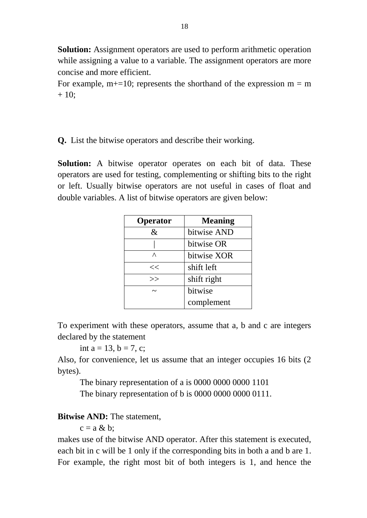**Solution:** Assignment operators are used to perform arithmetic operation while assigning a value to a variable. The assignment operators are more concise and more efficient.

For example,  $m+=10$ ; represents the shorthand of the expression  $m = m$  $+10$ ;

**Q.** List the bitwise operators and describe their working.

**Solution:** A bitwise operator operates on each bit of data. These operators are used for testing, complementing or shifting bits to the right or left. Usually bitwise operators are not useful in cases of float and double variables. A list of bitwise operators are given below:

| Operator | <b>Meaning</b> |
|----------|----------------|
| &        | bitwise AND    |
|          | bitwise OR     |
| Λ        | bitwise XOR    |
| <<       | shift left     |
| >>       | shift right    |
|          | bitwise        |
|          | complement     |

To experiment with these operators, assume that a, b and c are integers declared by the statement

int a = 13, b = 7, c;

Also, for convenience, let us assume that an integer occupies 16 bits (2 bytes).

The binary representation of a is 0000 0000 0000 1101 The binary representation of b is 0000 0000 0000 0111.

**Bitwise AND:** The statement,

 $c = a \& b$ :

makes use of the bitwise AND operator. After this statement is executed, each bit in c will be 1 only if the corresponding bits in both a and b are 1. For example, the right most bit of both integers is 1, and hence the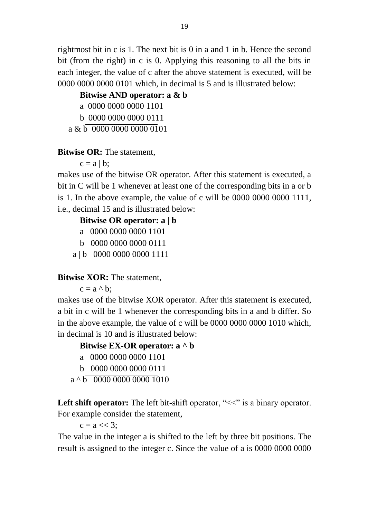rightmost bit in c is 1. The next bit is 0 in a and 1 in b. Hence the second bit (from the right) in c is 0. Applying this reasoning to all the bits in each integer, the value of c after the above statement is executed, will be 0000 0000 0000 0101 which, in decimal is 5 and is illustrated below:

```
Bitwise AND operator: a & b
    a 0000 0000 0000 1101
    b 0000 0000 0000 0111
 a & b 0000 0000 0000 0101
```
# **Bitwise OR:** The statement,

 $c = a \mid b$ ;

makes use of the bitwise OR operator. After this statement is executed, a bit in C will be 1 whenever at least one of the corresponding bits in a or b is 1. In the above example, the value of c will be 0000 0000 0000 1111, i.e., decimal 15 and is illustrated below:

# **Bitwise OR operator: a | b**

a 0000 0000 0000 1101

b 0000 0000 0000 0111

a | b 0000 0000 0000 1111

**Bitwise XOR:** The statement,

 $c = a \wedge b$ :

makes use of the bitwise XOR operator. After this statement is executed, a bit in c will be 1 whenever the corresponding bits in a and b differ. So in the above example, the value of c will be 0000 0000 0000 1010 which, in decimal is 10 and is illustrated below:

```
Bitwise EX-OR operator: a ^ b
  a 0000 0000 0000 1101
  b 0000 0000 0000 0111
a^{\text{A}} b 0000 0000 0000 1010
```
**Left shift operator:** The left bit-shift operator, " $<<$ " is a binary operator. For example consider the statement,

 $c = a \ll 3$ ;

The value in the integer a is shifted to the left by three bit positions. The result is assigned to the integer c. Since the value of a is 0000 0000 0000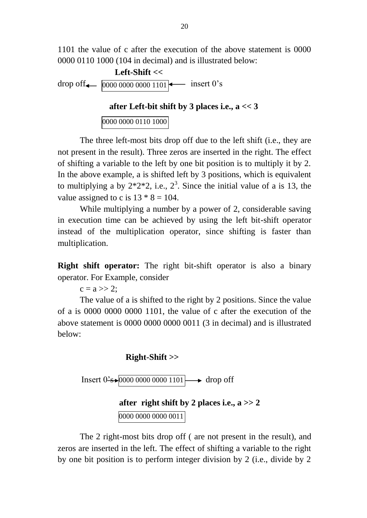1101 the value of c after the execution of the above statement is 0000 0000 0110 1000 (104 in decimal) and is illustrated below:

 **Left-Shift <<** drop off $\leftarrow$   $\boxed{0000\,0000\,0000\,1101}$   $\leftarrow$  insert 0's

### **after Left-bit shift by 3 places i.e., a << 3**

0000 0000 0110 1000

The three left-most bits drop off due to the left shift (i.e., they are not present in the result). Three zeros are inserted in the right. The effect of shifting a variable to the left by one bit position is to multiply it by 2. In the above example, a is shifted left by 3 positions, which is equivalent to multiplying a by  $2^*2^*2$ , i.e.,  $2^3$ . Since the initial value of a is 13, the value assigned to c is  $13 * 8 = 104$ .

While multiplying a number by a power of 2, considerable saving in execution time can be achieved by using the left bit-shift operator instead of the multiplication operator, since shifting is faster than multiplication.

**Right shift operator:** The right bit-shift operator is also a binary operator. For Example, consider

 $c = a \gg 2$ ;

The value of a is shifted to the right by 2 positions. Since the value of a is 0000 0000 0000 1101, the value of c after the execution of the above statement is 0000 0000 0000 0011 (3 in decimal) and is illustrated below:

## **Right-Shift >>**

Insert  $0.5 \rightarrow 0000 0000 0000 1101 \rightarrow drop$  of f

```
 after right shift by 2 places i.e., a >> 2
```
0000 0000 0000 0011

The 2 right-most bits drop off ( are not present in the result), and zeros are inserted in the left. The effect of shifting a variable to the right by one bit position is to perform integer division by 2 (i.e., divide by 2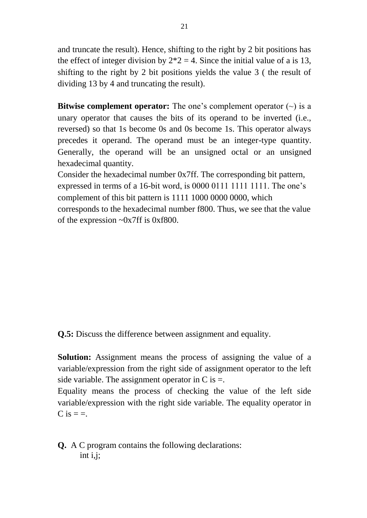and truncate the result). Hence, shifting to the right by 2 bit positions has the effect of integer division by  $2*2 = 4$ . Since the initial value of a is 13, shifting to the right by 2 bit positions yields the value 3 ( the result of dividing 13 by 4 and truncating the result).

**Bitwise complement operator:** The one's complement operator  $(\sim)$  is a unary operator that causes the bits of its operand to be inverted (i.e., reversed) so that 1s become 0s and 0s become 1s. This operator always precedes it operand. The operand must be an integer-type quantity. Generally, the operand will be an unsigned octal or an unsigned hexadecimal quantity.

Consider the hexadecimal number 0x7ff. The corresponding bit pattern, expressed in terms of a 16-bit word, is 0000 0111 1111 1111. The one's complement of this bit pattern is 1111 1000 0000 0000, which corresponds to the hexadecimal number f800. Thus, we see that the value of the expression  $\sim 0x7$ ff is 0xf800.

**Q.5:** Discuss the difference between assignment and equality.

**Solution:** Assignment means the process of assigning the value of a variable/expression from the right side of assignment operator to the left side variable. The assignment operator in C is  $=$ .

Equality means the process of checking the value of the left side variable/expression with the right side variable. The equality operator in  $C$  is  $=$   $=$ .

**Q.** A C program contains the following declarations: int i,j;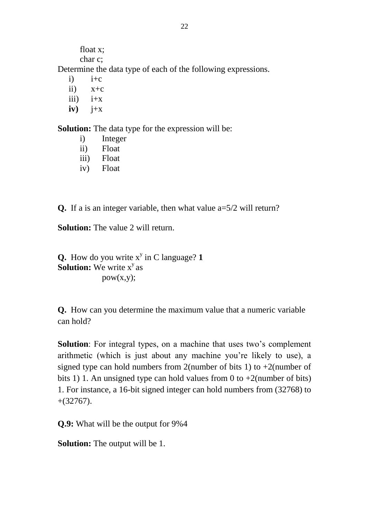float x;

char c;

Determine the data type of each of the following expressions.

- $i)$   $i+c$
- ii)  $x+c$
- $iii)$   $i+x$
- $iv)$   $j+x$

**Solution:** The data type for the expression will be:

- i) Integer
- ii) Float
- iii) Float
- iv) Float

**Q.** If a is an integer variable, then what value a=5/2 will return?

**Solution:** The value 2 will return.

**Q.** How do you write  $x^y$  in C language? **1 Solution:** We write x<sup>y</sup> as  $pow(x,y);$ 

**Q.** How can you determine the maximum value that a numeric variable can hold?

**Solution**: For integral types, on a machine that uses two's complement arithmetic (which is just about any machine you"re likely to use), a signed type can hold numbers from 2(number of bits 1) to  $+2$ (number of bits 1) 1. An unsigned type can hold values from 0 to  $+2$ (number of bits) 1. For instance, a 16-bit signed integer can hold numbers from (32768) to +(32767).

**Q.9:** What will be the output for 9%4

**Solution:** The output will be 1.